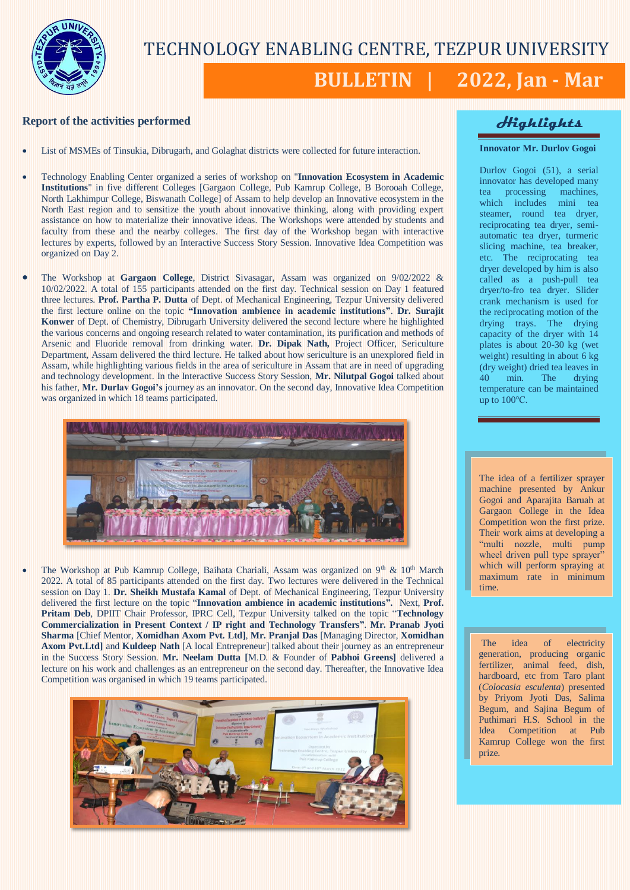

# TECHNOLOGY ENABLING CENTRE, TEZPUR UNIVERSITY

# **BULLETIN | 2022, Jan - Mar**

## **Report of the activities performed**

- List of MSMEs of Tinsukia, Dibrugarh, and Golaghat districts were collected for future interaction.
- Technology Enabling Center organized a series of workshop on "**Innovation Ecosystem in Academic Institutions**" in five different Colleges [Gargaon College, Pub Kamrup College, B Borooah College, North Lakhimpur College, Biswanath College] of Assam to help develop an Innovative ecosystem in the North East region and to sensitize the youth about innovative thinking, along with providing expert assistance on how to materialize their innovative ideas. The Workshops were attended by students and faculty from these and the nearby colleges. The first day of the Workshop began with interactive lectures by experts, followed by an Interactive Success Story Session. Innovative Idea Competition was organized on Day 2.
- The Workshop at **Gargaon College**, District Sivasagar, Assam was organized on 9/02/2022 & 10/02/2022. A total of 155 participants attended on the first day. Technical session on Day 1 featured three lectures. **Prof. Partha P. Dutta** of Dept. of Mechanical Engineering, Tezpur University delivered the first lecture online on the topic **"Innovation ambience in academic institutions"**. **Dr. Surajit Konwer** of Dept. of Chemistry, Dibrugarh University delivered the second lecture where he highlighted the various concerns and ongoing research related to water contamination, its purification and methods of Arsenic and Fluoride removal from drinking water. **Dr. Dipak Nath,** Project Officer, Sericulture Department, Assam delivered the third lecture. He talked about how sericulture is an unexplored field in Assam, while highlighting various fields in the area of sericulture in Assam that are in need of upgrading and technology development. In the Interactive Success Story Session, **Mr. Nilutpal Gogoi** talked about his father, **Mr. Durlav Gogoi's** journey as an innovator. On the second day, Innovative Idea Competition was organized in which 18 teams participated.



The Workshop at Pub Kamrup College, Baihata Chariali, Assam was organized on 9<sup>th</sup> & 10<sup>th</sup> March 2022. A total of 85 participants attended on the first day. Two lectures were delivered in the Technical session on Day 1. **Dr. Sheikh Mustafa Kamal** of Dept. of Mechanical Engineering, Tezpur University delivered the first lecture on the topic "**Innovation ambience in academic institutions".** Next, **Prof. Pritam Deb**, DPIIT Chair Professor, IPRC Cell, Tezpur University talked on the topic "**Technology Commercialization in Present Context / IP right and Technology Transfers"**. **Mr. Pranab Jyoti Sharma** [Chief Mentor, **Xomidhan Axom Pvt. Ltd]**, **Mr. Pranjal Das** [Managing Director, **Xomidhan Axom Pvt.Ltd]** and **Kuldeep Nath** [A local Entrepreneur] talked about their journey as an entrepreneur in the Success Story Session. **Mr. Neelam Dutta [**M.D. & Founder of **Pabhoi Greens]** delivered a lecture on his work and challenges as an entrepreneur on the second day. Thereafter, the Innovative Idea Competition was organised in which 19 teams participated.



## **Highlights**

### **Innovator Mr. Durlov Gogoi**

Durlov Gogoi (51), a serial innovator has developed many tea processing machines, which includes mini tea steamer, round tea dryer, reciprocating tea dryer, semiautomatic tea dryer, turmeric slicing machine, tea breaker, etc. The reciprocating tea dryer developed by him is also called as a push-pull tea dryer/to-fro tea dryer. Slider crank mechanism is used for the reciprocating motion of the drying trays. The drying capacity of the dryer with 14 plates is about 20-30 kg (wet weight) resulting in about 6 kg (dry weight) dried tea leaves in 40 min. The drying temperature can be maintained up to 100℃.

The idea of a fertilizer sprayer machine presented by Ankur Gogoi and Aparajita Baruah at Gargaon College in the Idea Competition won the first prize. Their work aims at developing a "multi nozzle, multi pump wheel driven pull type sprayer" which will perform spraying at maximum rate in minimum time.

The idea of electricity generation, producing organic fertilizer, animal feed, dish, hardboard, etc from Taro plant (*Colocasia esculenta*) presented by Priyom Jyoti Das, Salima Begum, and Sajina Begum of Puthimari H.S. School in the Idea Competition at Pub Kamrup College won the first prize.